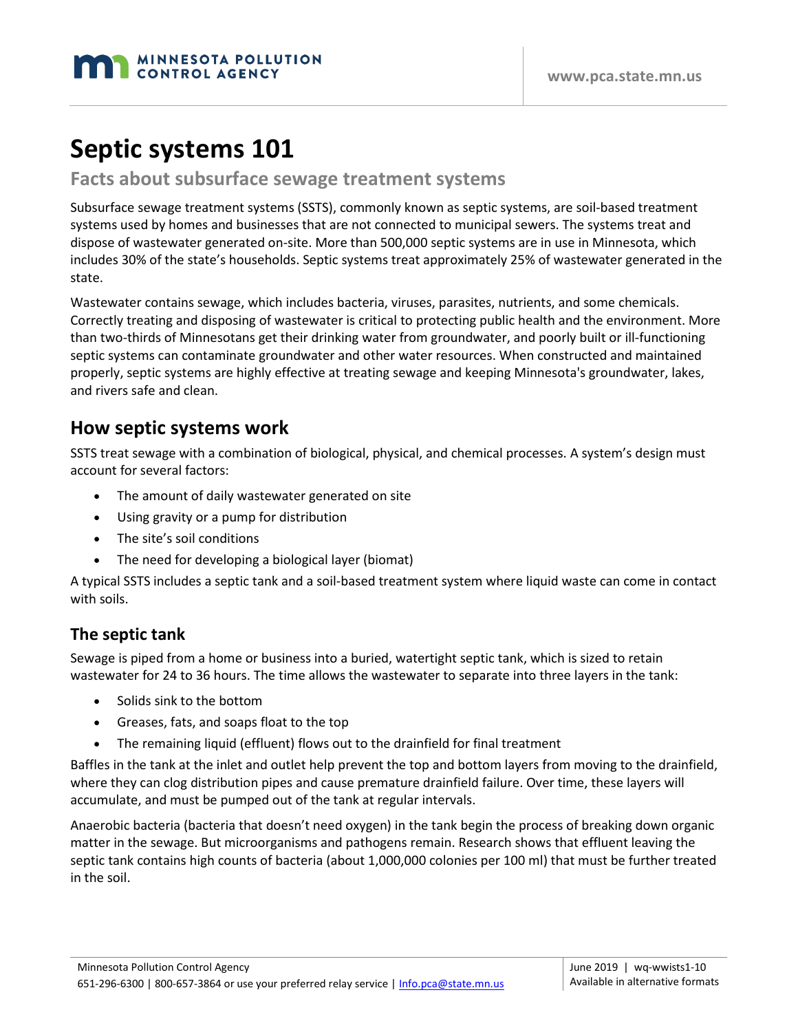# **Septic systems 101**

#### **Facts about subsurface sewage treatment systems**

Subsurface sewage treatment systems (SSTS), commonly known as septic systems, are soil-based treatment systems used by homes and businesses that are not connected to municipal sewers. The systems treat and dispose of wastewater generated on-site. More than 500,000 septic systems are in use in Minnesota, which includes 30% of the state's households. Septic systems treat approximately 25% of wastewater generated in the state.

Wastewater contains sewage, which includes bacteria, viruses, parasites, nutrients, and some chemicals. Correctly treating and disposing of wastewater is critical to protecting public health and the environment. More than two-thirds of Minnesotans get their drinking water from groundwater, and poorly built or ill-functioning septic systems can contaminate groundwater and other water resources. When constructed and maintained properly, septic systems are highly effective at treating sewage and keeping Minnesota's groundwater, lakes, and rivers safe and clean.

### **How septic systems work**

SSTS treat sewage with a combination of biological, physical, and chemical processes. A system's design must account for several factors:

- The amount of daily wastewater generated on site
- Using gravity or a pump for distribution
- The site's soil conditions
- The need for developing a biological layer (biomat)

A typical SSTS includes a septic tank and a soil-based treatment system where liquid waste can come in contact with soils.

#### **The septic tank**

Sewage is piped from a home or business into a buried, watertight septic tank, which is sized to retain wastewater for 24 to 36 hours. The time allows the wastewater to separate into three layers in the tank:

- Solids sink to the bottom
- Greases, fats, and soaps float to the top
- The remaining liquid (effluent) flows out to the drainfield for final treatment

Baffles in the tank at the inlet and outlet help prevent the top and bottom layers from moving to the drainfield, where they can clog distribution pipes and cause premature drainfield failure. Over time, these layers will accumulate, and must be pumped out of the tank at regular intervals.

Anaerobic bacteria (bacteria that doesn't need oxygen) in the tank begin the process of breaking down organic matter in the sewage. But microorganisms and pathogens remain. Research shows that effluent leaving the septic tank contains high counts of bacteria (about 1,000,000 colonies per 100 ml) that must be further treated in the soil.